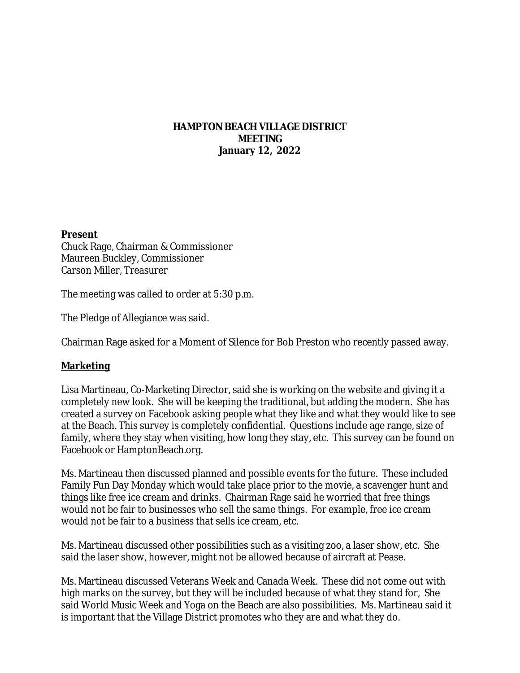### **HAMPTON BEACH VILLAGE DISTRICT MEETING January 12, 2022**

#### **Present**

Chuck Rage, Chairman & Commissioner Maureen Buckley, Commissioner Carson Miller, Treasurer

The meeting was called to order at 5:30 p.m.

The Pledge of Allegiance was said.

Chairman Rage asked for a Moment of Silence for Bob Preston who recently passed away.

### **Marketing**

Lisa Martineau, Co-Marketing Director, said she is working on the website and giving it a completely new look. She will be keeping the traditional, but adding the modern. She has created a survey on Facebook asking people what they like and what they would like to see at the Beach. This survey is completely confidential. Questions include age range, size of family, where they stay when visiting, how long they stay, etc. This survey can be found on Facebook or HamptonBeach.org.

Ms. Martineau then discussed planned and possible events for the future. These included Family Fun Day Monday which would take place prior to the movie, a scavenger hunt and things like free ice cream and drinks. Chairman Rage said he worried that free things would not be fair to businesses who sell the same things. For example, free ice cream would not be fair to a business that sells ice cream, etc.

Ms. Martineau discussed other possibilities such as a visiting zoo, a laser show, etc. She said the laser show, however, might not be allowed because of aircraft at Pease.

Ms. Martineau discussed Veterans Week and Canada Week. These did not come out with high marks on the survey, but they will be included because of what they stand for, She said World Music Week and Yoga on the Beach are also possibilities. Ms. Martineau said it is important that the Village District promotes who they are and what they do.